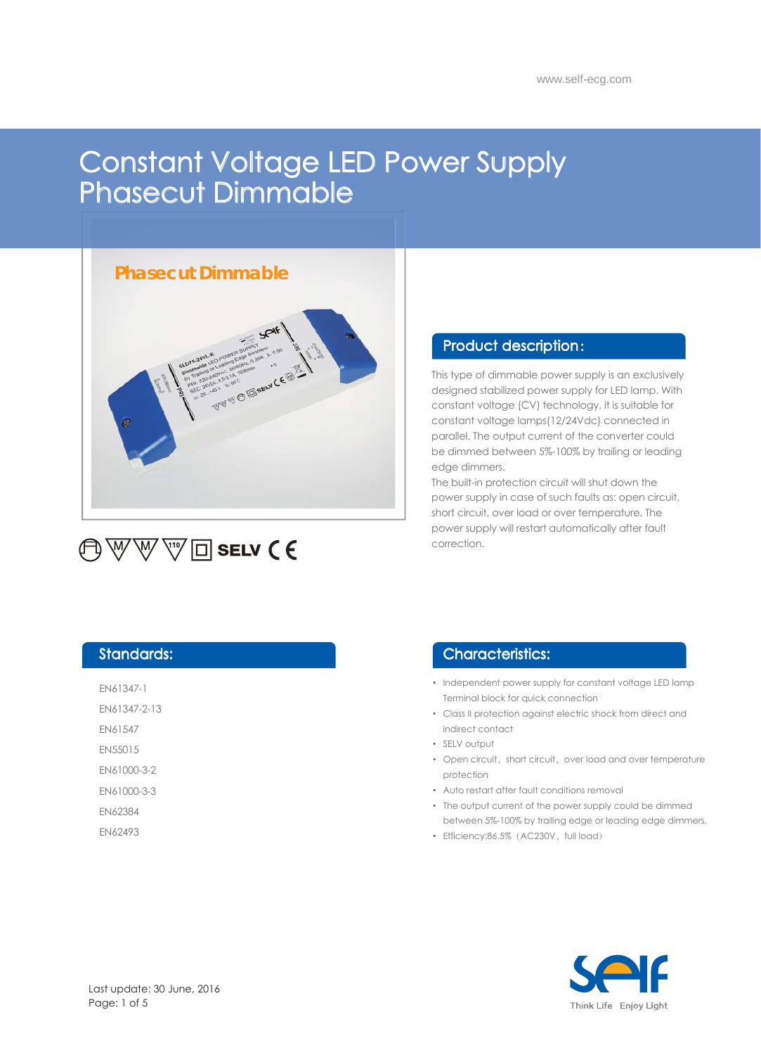# Constant Voltage LED Power Supply Phasecut Dimmable

# **Phasecut Dimmable**



# **A** W W v I □ selv (€

### Product description :

This type of dimmable power supply is an exclusively designed stabilized power supply for LED lamp. With constant voltage (CV) technology, it is suitable for constant voltage lamps(12/24Vdc) connected in parallel. The output current of the converter could be dimmed between 5%-100% by trailing or leading edge dimmers.

The built-in protection circuit will shut down the power supply in case of such faults as: open circuit, short circuit, over load or over temperature. The power supply will restart automatically after fault correction.

## Standards:

- EN61347-1
- EN61347-2-13
- EN61547
- EN55015
- EN61000-3-2
- EN61000-3-3
- EN62384
- EN62493

## Characteristics:

- Independent power supply for constant voltage LED lamp Terminal block for quick connection
- Class II protection against electric shock from direct and indirect contact
- SELV output •
- Open circuit, short circuit, over load and over temperature protection
- Auto restart after fault conditions removal
- The output current of the power supply could be dimmed between 5%-100% by trailing edge or leading edge dimmers.
- Efficiency:86.5% (AC230V, full load)

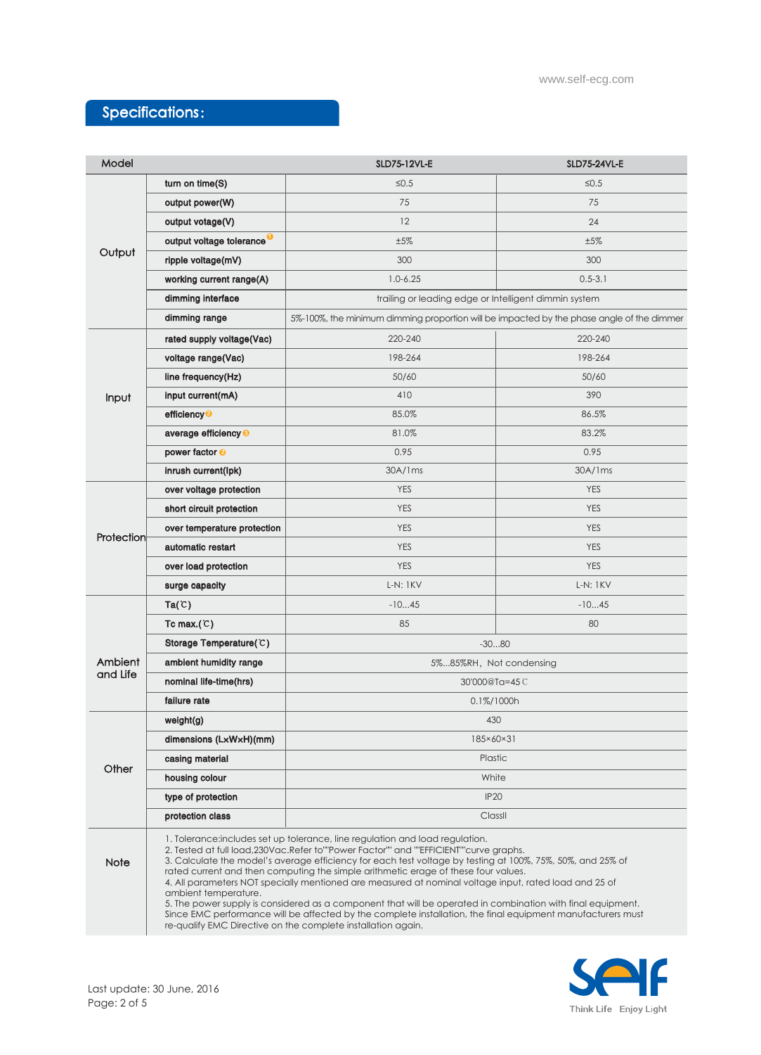# Specifications:

| Model               |                                                                                                                                                                                                                                                                                                                                                                                                                                                                                                                                                                                                                                                                                                                                                                                                              | SLD75-12VL-E                                                                              | <b>SLD75-24VL-E</b> |
|---------------------|--------------------------------------------------------------------------------------------------------------------------------------------------------------------------------------------------------------------------------------------------------------------------------------------------------------------------------------------------------------------------------------------------------------------------------------------------------------------------------------------------------------------------------------------------------------------------------------------------------------------------------------------------------------------------------------------------------------------------------------------------------------------------------------------------------------|-------------------------------------------------------------------------------------------|---------------------|
| Output              | turn on time(S)                                                                                                                                                                                                                                                                                                                                                                                                                                                                                                                                                                                                                                                                                                                                                                                              | ≤ $0.5$                                                                                   | $≤0.5$              |
|                     | output power(W)                                                                                                                                                                                                                                                                                                                                                                                                                                                                                                                                                                                                                                                                                                                                                                                              | 75                                                                                        | 75                  |
|                     | output votage(V)                                                                                                                                                                                                                                                                                                                                                                                                                                                                                                                                                                                                                                                                                                                                                                                             | 12                                                                                        | 24                  |
|                     | output voltage tolerance <sup>0</sup>                                                                                                                                                                                                                                                                                                                                                                                                                                                                                                                                                                                                                                                                                                                                                                        | $±5\%$                                                                                    | ±5%                 |
|                     | ripple voltage(mV)                                                                                                                                                                                                                                                                                                                                                                                                                                                                                                                                                                                                                                                                                                                                                                                           | 300                                                                                       | 300                 |
|                     | working current range(A)                                                                                                                                                                                                                                                                                                                                                                                                                                                                                                                                                                                                                                                                                                                                                                                     | $1.0 - 6.25$                                                                              | $0.5 - 3.1$         |
|                     | dimming interface                                                                                                                                                                                                                                                                                                                                                                                                                                                                                                                                                                                                                                                                                                                                                                                            | trailing or leading edge or Intelligent dimmin system                                     |                     |
|                     | dimming range                                                                                                                                                                                                                                                                                                                                                                                                                                                                                                                                                                                                                                                                                                                                                                                                | 5%-100%, the minimum dimming proportion will be impacted by the phase angle of the dimmer |                     |
| Input               | rated supply voltage(Vac)                                                                                                                                                                                                                                                                                                                                                                                                                                                                                                                                                                                                                                                                                                                                                                                    | 220-240                                                                                   | 220-240             |
|                     | voltage range(Vac)                                                                                                                                                                                                                                                                                                                                                                                                                                                                                                                                                                                                                                                                                                                                                                                           | 198-264                                                                                   | 198-264             |
|                     | line frequency(Hz)                                                                                                                                                                                                                                                                                                                                                                                                                                                                                                                                                                                                                                                                                                                                                                                           | 50/60                                                                                     | 50/60               |
|                     | input current(mA)                                                                                                                                                                                                                                                                                                                                                                                                                                                                                                                                                                                                                                                                                                                                                                                            | 410                                                                                       | 390                 |
|                     | efficiency <sup>2</sup>                                                                                                                                                                                                                                                                                                                                                                                                                                                                                                                                                                                                                                                                                                                                                                                      | 85.0%                                                                                     | 86.5%               |
|                     | average efficiency <sup>®</sup>                                                                                                                                                                                                                                                                                                                                                                                                                                                                                                                                                                                                                                                                                                                                                                              | 81.0%                                                                                     | 83.2%               |
|                     | power factor <sup>o</sup>                                                                                                                                                                                                                                                                                                                                                                                                                                                                                                                                                                                                                                                                                                                                                                                    | 0.95                                                                                      | 0.95                |
|                     | inrush current(lpk)                                                                                                                                                                                                                                                                                                                                                                                                                                                                                                                                                                                                                                                                                                                                                                                          | 30A/1ms                                                                                   | 30A/1ms             |
| Protection          | over voltage protection                                                                                                                                                                                                                                                                                                                                                                                                                                                                                                                                                                                                                                                                                                                                                                                      | <b>YES</b>                                                                                | <b>YES</b>          |
|                     | short circuit protection                                                                                                                                                                                                                                                                                                                                                                                                                                                                                                                                                                                                                                                                                                                                                                                     | <b>YES</b>                                                                                | <b>YES</b>          |
|                     | over temperature protection                                                                                                                                                                                                                                                                                                                                                                                                                                                                                                                                                                                                                                                                                                                                                                                  | <b>YES</b>                                                                                | <b>YES</b>          |
|                     | automatic restart                                                                                                                                                                                                                                                                                                                                                                                                                                                                                                                                                                                                                                                                                                                                                                                            | <b>YES</b>                                                                                | <b>YES</b>          |
|                     | over load protection                                                                                                                                                                                                                                                                                                                                                                                                                                                                                                                                                                                                                                                                                                                                                                                         | <b>YES</b>                                                                                | <b>YES</b>          |
|                     | surge capacity                                                                                                                                                                                                                                                                                                                                                                                                                                                                                                                                                                                                                                                                                                                                                                                               | <b>L-N: 1KV</b>                                                                           | $L-N: 1KV$          |
| Ambient<br>and Life | Ta(C)                                                                                                                                                                                                                                                                                                                                                                                                                                                                                                                                                                                                                                                                                                                                                                                                        | $-1045$                                                                                   | $-1045$             |
|                     | Tc max. $(C)$                                                                                                                                                                                                                                                                                                                                                                                                                                                                                                                                                                                                                                                                                                                                                                                                | 85                                                                                        | 80                  |
|                     | Storage Temperature( $C$ )                                                                                                                                                                                                                                                                                                                                                                                                                                                                                                                                                                                                                                                                                                                                                                                   | $-3080$                                                                                   |                     |
|                     | ambient humidity range                                                                                                                                                                                                                                                                                                                                                                                                                                                                                                                                                                                                                                                                                                                                                                                       | 5%85%RH, Not condensing                                                                   |                     |
|                     | nominal life-time(hrs)                                                                                                                                                                                                                                                                                                                                                                                                                                                                                                                                                                                                                                                                                                                                                                                       | 30'000@Ta=45C                                                                             |                     |
|                     | failure rate                                                                                                                                                                                                                                                                                                                                                                                                                                                                                                                                                                                                                                                                                                                                                                                                 | 0.1%/1000h                                                                                |                     |
| Other               | weight(g)                                                                                                                                                                                                                                                                                                                                                                                                                                                                                                                                                                                                                                                                                                                                                                                                    | 430                                                                                       |                     |
|                     | dimensions (LxWxH)(mm)                                                                                                                                                                                                                                                                                                                                                                                                                                                                                                                                                                                                                                                                                                                                                                                       | 185×60×31                                                                                 |                     |
|                     | casing material                                                                                                                                                                                                                                                                                                                                                                                                                                                                                                                                                                                                                                                                                                                                                                                              | Plastic                                                                                   |                     |
|                     | housing colour                                                                                                                                                                                                                                                                                                                                                                                                                                                                                                                                                                                                                                                                                                                                                                                               | White                                                                                     |                     |
|                     | type of protection                                                                                                                                                                                                                                                                                                                                                                                                                                                                                                                                                                                                                                                                                                                                                                                           | <b>IP20</b>                                                                               |                     |
|                     | protection class                                                                                                                                                                                                                                                                                                                                                                                                                                                                                                                                                                                                                                                                                                                                                                                             | Classil                                                                                   |                     |
| <b>Note</b>         | 1. Tolerance: includes set up tolerance, line regulation and load regulation.<br>2. Tested at full load, 230Vac. Refer to ""Power Factor"" and ""EFFICIENT" curve graphs.<br>3. Calculate the model's average efficiency for each test voltage by testing at 100%, 75%, 50%, and 25% of<br>rated current and then computing the simple arithmetic erage of these four values.<br>4. All parameters NOT specially mentioned are measured at nominal voltage input, rated load and 25 of<br>ambient temperature.<br>5. The power supply is considered as a component that will be operated in combination with final equipment.<br>Since EMC performance will be affected by the complete installation, the final equipment manufacturers must<br>re-qualify EMC Directive on the complete installation again. |                                                                                           |                     |

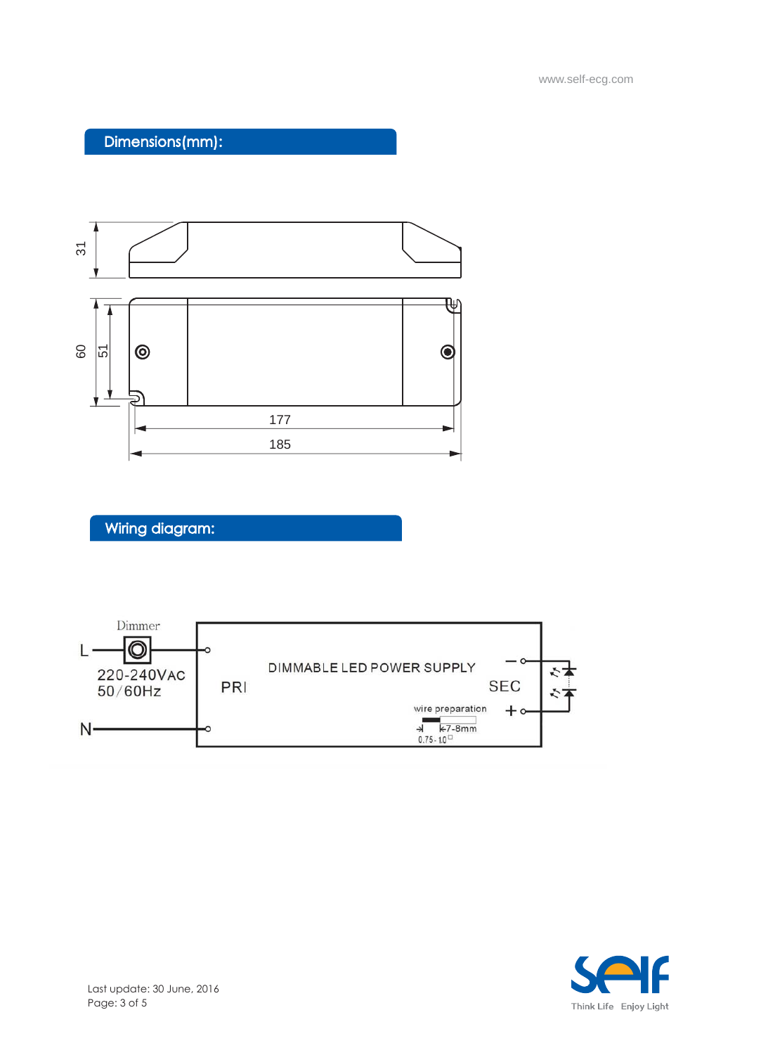Dimensions(mm):



# Wiring diagram:



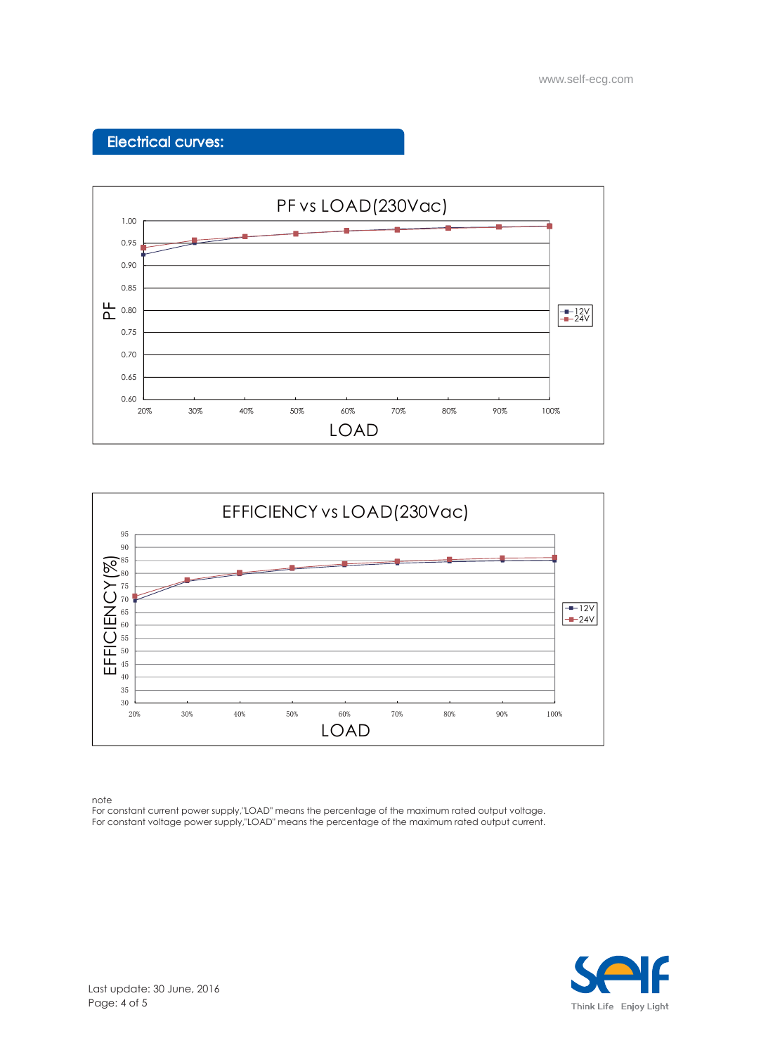www.self-ecg.com

## Electrical curves:





note

For constant current power supply,"LOAD" means the percentage of the maximum rated output voltage. For constant voltage power supply,"LOAD" means the percentage of the maximum rated output current.